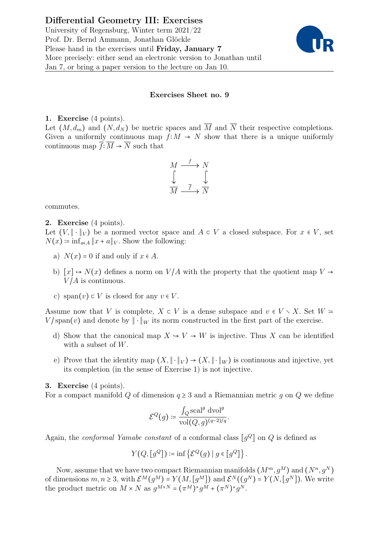University of Regensburg, Winter term 2021/22 Prof. Dr. Bernd Ammann, Jonathan Glöckle Please hand in the exercises until Friday, January 7 More precisely: either send an electronic version to Jonathan until Jan 7, or bring a paper version to the lecture on Jan 10.



## Exercises Sheet no. 9

## 1. Exercise (4 points).

Let  $(M, d_m)$  and  $(N, d_N)$  be metric spaces and  $\overline{M}$  and  $\overline{N}$  their respective completions. Given a uniformly continuous map  $f: M \to N$  show that there is a unique uniformly continuous map  $\overline{f}$ :  $\overline{M}$  →  $\overline{N}$  such that

$$
\begin{array}{ccc}\nM & \xrightarrow{f} & N \\
\downarrow & & \downarrow \\
\hline\nM & \xrightarrow{\overline{f}} & \overline{N}\n\end{array}
$$

commutes.

## 2. Exercise (4 points).

Let  $(V, \|\cdot\|_V)$  be a normed vector space and  $A \subset V$  a closed subspace. For  $x \in V$ , set  $N(x) \coloneqq \inf_{a \in A} ||x + a||_V$ . Show the following:

- a)  $N(x) = 0$  if and only if  $x \in A$ .
- b)  $[x] \mapsto N(x)$  defines a norm on  $V/A$  with the property that the quotient map  $V \rightarrow$  $V/A$  is continuous.
- c) span $(v) \subset V$  is closed for any  $v \in V$ .

Assume now that V is complete,  $X \subset V$  is a dense subspace and  $v \in V \setminus X$ . Set  $W =$ V/span(v) and denote by  $\|\cdot\|_W$  its norm constructed in the first part of the exercise.

- d) Show that the canonical map  $X \to V \to W$  is injective. Thus X can be identified with a subset of  $W$ .
- e) Prove that the identity map  $(X, \|\cdot\|_V) \to (X, \|\cdot\|_W)$  is continuous and injective, yet its completion (in the sense of Exercise 1) is not injective.

## 3. Exercise (4 points).

For a compact manifold Q of dimension  $q \geq 3$  and a Riemannian metric q on Q we define

$$
\mathcal{E}^Q(g) \coloneqq \frac{\int_Q \text{scal}^g \text{ dvol}^g}{\text{vol}(Q,g)^{(q-2)/q}}.
$$

Again, the *conformal Yamabe constant* of a conformal class  $[g^Q]$  on  $Q$  is defined as

$$
Y(Q, [g^Q]) \coloneqq \inf \left\{ \mathcal{E}^Q(g) \mid g \in [g^Q] \right\}.
$$

Now, assume that we have two compact Riemannian manifolds  $(M^m, q^M)$  and  $(N^n, q^N)$ of dimensions  $m, n \geq 3$ , with  $\mathcal{E}^M(g^M) = Y(M, [g^M])$  and  $\mathcal{E}^N((g^N) = Y(N, [g^N])$ . We write the product metric on  $M \times N$  as  $g^{M \times N} = (\pi^M)^* g^M + (\pi^N)^* g^N$ .